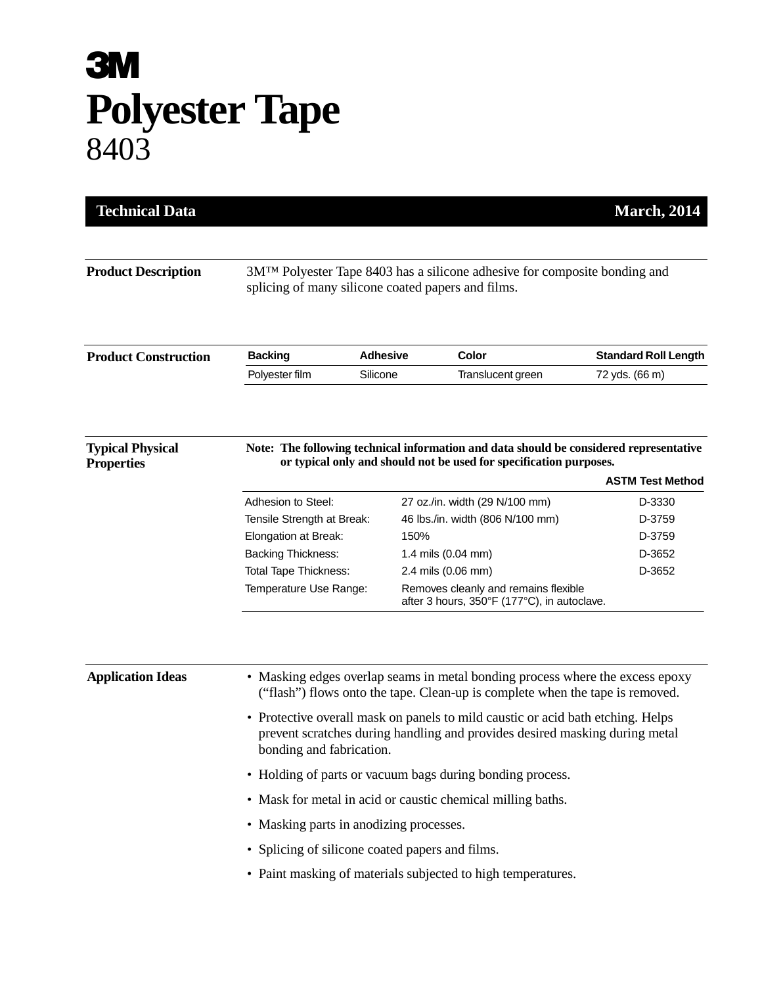## **3M Polyester Tape** 8403

| <b>Product Description</b>                   | 3M <sup>TM</sup> Polyester Tape 8403 has a silicone adhesive for composite bonding and<br>splicing of many silicone coated papers and films.                                                                                                                                |                 |                                                                                     |                             |  |
|----------------------------------------------|-----------------------------------------------------------------------------------------------------------------------------------------------------------------------------------------------------------------------------------------------------------------------------|-----------------|-------------------------------------------------------------------------------------|-----------------------------|--|
|                                              |                                                                                                                                                                                                                                                                             |                 |                                                                                     |                             |  |
| <b>Product Construction</b>                  | <b>Backing</b>                                                                                                                                                                                                                                                              | <b>Adhesive</b> | Color                                                                               | <b>Standard Roll Length</b> |  |
|                                              | Polyester film                                                                                                                                                                                                                                                              | Silicone        | Translucent green                                                                   | 72 yds. (66 m)              |  |
| <b>Typical Physical</b><br><b>Properties</b> | Note: The following technical information and data should be considered representative<br>or typical only and should not be used for specification purposes.<br><b>ASTM Test Method</b>                                                                                     |                 |                                                                                     |                             |  |
|                                              | Adhesion to Steel:                                                                                                                                                                                                                                                          |                 | 27 oz./in. width (29 N/100 mm)                                                      | D-3330                      |  |
|                                              | Tensile Strength at Break:                                                                                                                                                                                                                                                  |                 | 46 lbs./in. width (806 N/100 mm)                                                    | D-3759                      |  |
|                                              | Elongation at Break:                                                                                                                                                                                                                                                        |                 | 150%                                                                                | D-3759                      |  |
|                                              | <b>Backing Thickness:</b>                                                                                                                                                                                                                                                   |                 | 1.4 mils (0.04 mm)                                                                  | D-3652                      |  |
|                                              | Total Tape Thickness:                                                                                                                                                                                                                                                       |                 | 2.4 mils (0.06 mm)                                                                  | D-3652                      |  |
|                                              | Temperature Use Range:                                                                                                                                                                                                                                                      |                 | Removes cleanly and remains flexible<br>after 3 hours, 350°F (177°C), in autoclave. |                             |  |
| <b>Application Ideas</b>                     |                                                                                                                                                                                                                                                                             |                 | • Masking edges overlap seams in metal bonding process where the excess epoxy       |                             |  |
|                                              | ("flash") flows onto the tape. Clean-up is complete when the tape is removed.<br>• Protective overall mask on panels to mild caustic or acid bath etching. Helps<br>prevent scratches during handling and provides desired masking during metal<br>bonding and fabrication. |                 |                                                                                     |                             |  |
|                                              | • Holding of parts or vacuum bags during bonding process.                                                                                                                                                                                                                   |                 |                                                                                     |                             |  |
|                                              | • Mask for metal in acid or caustic chemical milling baths.                                                                                                                                                                                                                 |                 |                                                                                     |                             |  |
|                                              | • Masking parts in anodizing processes.                                                                                                                                                                                                                                     |                 |                                                                                     |                             |  |
|                                              | • Splicing of silicone coated papers and films.                                                                                                                                                                                                                             |                 |                                                                                     |                             |  |
|                                              | • Paint masking of materials subjected to high temperatures.                                                                                                                                                                                                                |                 |                                                                                     |                             |  |